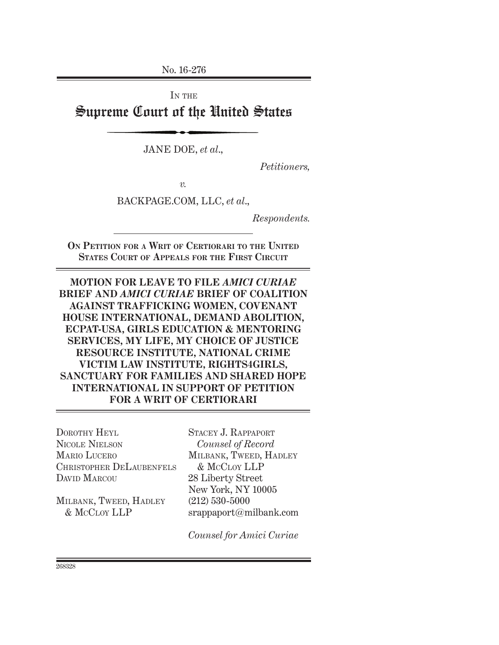No. 16-276

IN THE Supreme Court of the United States

JANE DOE, *et al*.,

*Petitioners,*

*v.*

BACKPAGE.COM, LLC, *et al*.,

*Respondents.*

**On Petition for a Writ of Certiorari to the United States Court of Appeals for the First Circuit**

**MOTION FOR LEAVE TO FILE** *AMICI CURIAE* **BRIEF AND** *AMICI CURIAE* **BRIEF OF COALITION AGAINST TRAFFICKING WOMEN, COVENANT HOUSE INTERNATIONAL, DEMAND ABOLITION, ECPAT-USA, GIRLS EDUCATION & MENTORING SERVICES, MY LIFE, MY CHOICE OF JUSTICE RESOURCE INSTITUTE, NATIONAL CRIME VICTIM LAW INSTITUTE, RIGHTS4GIRLS, SANCTUARY FOR FAMILIES AND SHARED HOPE INTERNATIONAL IN SUPPORT OF PETITION FOR A WRIT OF CERTIORARI**

DOROTHY HEYL Nicole Nielson Mario Lucero Christopher DeLaubenfels DAVID MARCOU

Milbank, Tweed, Hadley & McCloy LLP

Stacey J. Rappaport *Counsel of Record* Milbank, Tweed, Hadley & McCloy LLP 28 Liberty Street New York, NY 10005 (212) 530-5000 srappaport@milbank.com

*Counsel for Amici Curiae*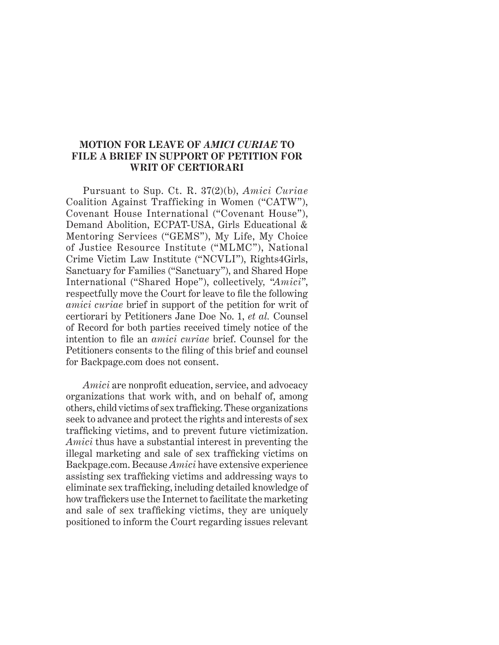#### **MOTION FOR LEAVE OF** *AMICI CURIAE* **TO FILE A BRIEF IN SUPPORT OF PETITION FOR WRIT OF CERTIORARI**

Pursuant to Sup. Ct. R. 37(2)(b), *Amici Curiae*  Coalition Against Trafficking in Women ("CATW"), Covenant House International ("Covenant House"), Demand Abolition, ECPAT-USA, Girls Educational & Mentoring Services ("GEMS"), My Life, My Choice of Justice Resource Institute ("MLMC"), National Crime Victim Law Institute ("NCVLI"), Rights4Girls, Sanctuary for Families ("Sanctuary"), and Shared Hope International ("Shared Hope"), collectively*,* "*Amici*", respectfully move the Court for leave to file the following *amici curiae* brief in support of the petition for writ of certiorari by Petitioners Jane Doe No. 1, *et al.* Counsel of Record for both parties received timely notice of the intention to file an *amici curiae* brief. Counsel for the Petitioners consents to the filing of this brief and counsel for Backpage.com does not consent.

*Amici* are nonprofit education, service, and advocacy organizations that work with, and on behalf of, among others, child victims of sex trafficking. These organizations seek to advance and protect the rights and interests of sex trafficking victims, and to prevent future victimization. *Amici* thus have a substantial interest in preventing the illegal marketing and sale of sex trafficking victims on Backpage.com. Because *Amici* have extensive experience assisting sex trafficking victims and addressing ways to eliminate sex trafficking, including detailed knowledge of how traffickers use the Internet to facilitate the marketing and sale of sex trafficking victims, they are uniquely positioned to inform the Court regarding issues relevant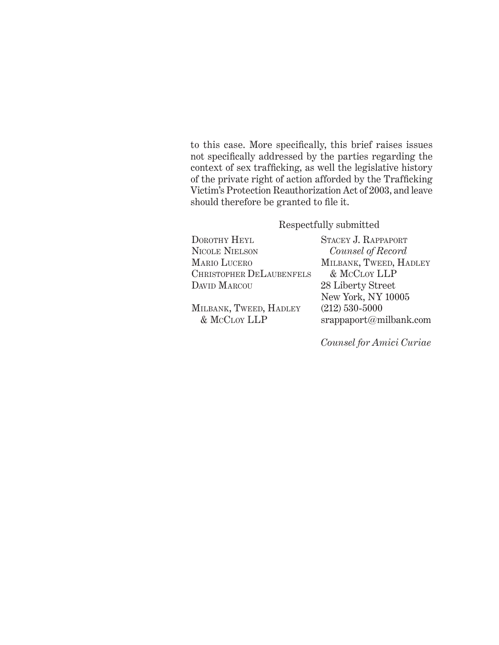to this case. More specifically, this brief raises issues not specifically addressed by the parties regarding the context of sex trafficking, as well the legislative history of the private right of action afforded by the Trafficking Victim's Protection Reauthorization Act of 2003, and leave should therefore be granted to file it.

### Respectfully submitted

| DOROTHY HEYL             | STACEY J. RAPPAPORT    |
|--------------------------|------------------------|
| <b>NICOLE NIELSON</b>    | Counsel of Record      |
| <b>MARIO LUCERO</b>      | MILBANK, TWEED, HADLEY |
| CHRISTOPHER DELAUBENFELS | & MCCLOY LLP           |
| DAVID MARCOU             | 28 Liberty Street      |
|                          | New York, NY 10005     |
| MILBANK, TWEED, HADLEY   | $(212)$ 530-5000       |
| & MCCLOY LLP             | srappaport@milbank.com |
|                          |                        |

*Counsel for Amici Curiae*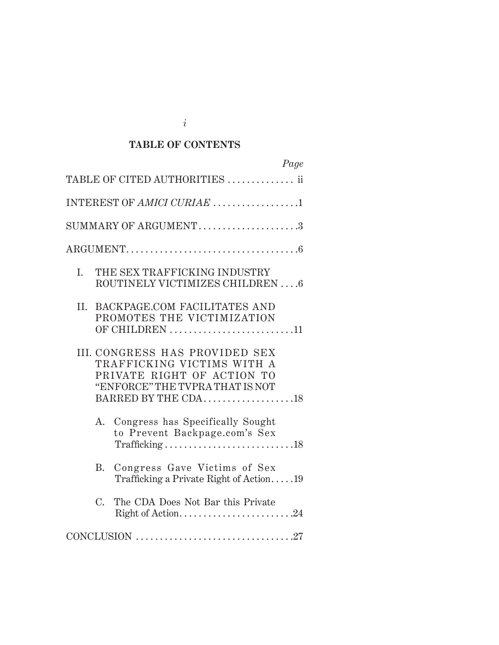# **TABLE OF CONTENTS**

| Page                                                                                                                                                 |  |  |  |
|------------------------------------------------------------------------------------------------------------------------------------------------------|--|--|--|
| TABLE OF CITED AUTHORITIES  ii                                                                                                                       |  |  |  |
| INTEREST OF AMICI CURIAE 1                                                                                                                           |  |  |  |
| $SUMMARY$ OF ARGUMENT3                                                                                                                               |  |  |  |
|                                                                                                                                                      |  |  |  |
| THE SEX TRAFFICKING INDUSTRY<br>L.<br>ROUTINELY VICTIMIZES CHILDREN6                                                                                 |  |  |  |
| <b>II. BACKPAGE.COM FACILITATES AND</b><br>PROMOTES THE VICTIMIZATION<br>OF CHILDREN 11                                                              |  |  |  |
| III. CONGRESS HAS PROVIDED SEX<br>TRAFFICKING VICTIMS WITH A<br>PRIVATE RIGHT OF ACTION TO<br>"ENFORCE" THE TVPRA THAT IS NOT<br>BARRED BY THE CDA18 |  |  |  |
| Congress has Specifically Sought<br>$A_{-}$<br>to Prevent Backpage.com's Sex                                                                         |  |  |  |
| Congress Gave Victims of Sex<br>B.<br>Trafficking a Private Right of Action19                                                                        |  |  |  |
| $C_{\cdot}$<br>The CDA Does Not Bar this Private<br>Right of Action24                                                                                |  |  |  |
|                                                                                                                                                      |  |  |  |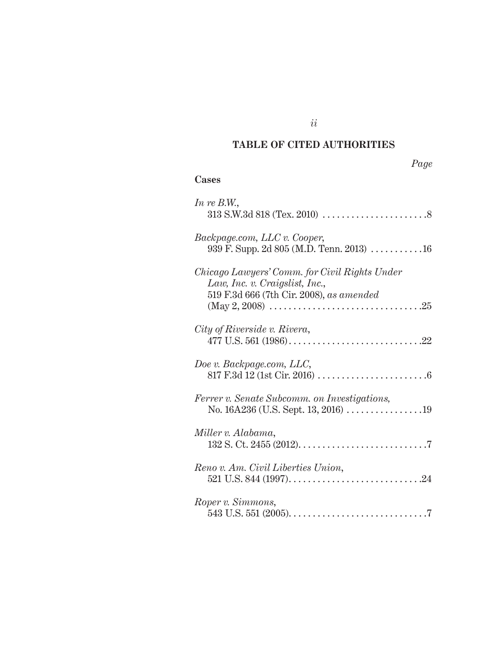# **TABLE OF CITED AUTHORITIES**

*ii*

# *Page*

## **Cases**

| In re B.W.,                                                                                                                 |
|-----------------------------------------------------------------------------------------------------------------------------|
| Backpage.com, LLC v. Cooper,<br>939 F. Supp. 2d 805 (M.D. Tenn. 2013)  16                                                   |
| Chicago Lawyers' Comm. for Civil Rights Under<br>Law, Inc. v. Craigslist, Inc.,<br>519 F.3d 666 (7th Cir. 2008), as amended |
| City of Riverside v. Rivera,                                                                                                |
| Doe v. Backpage.com, LLC,                                                                                                   |
| Ferrer v. Senate Subcomm. on Investigations,<br>No. 16A236 (U.S. Sept. 13, 2016) 19                                         |
| Miller v. Alabama,                                                                                                          |
| Reno v. Am. Civil Liberties Union,                                                                                          |
| Roper v. Simmons,                                                                                                           |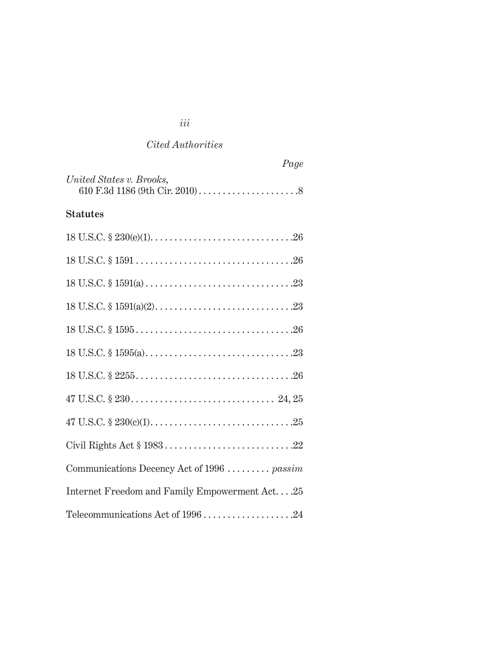| r uye                                         |
|-----------------------------------------------|
| United States v. Brooks,                      |
| <b>Statutes</b>                               |
|                                               |
|                                               |
|                                               |
|                                               |
|                                               |
|                                               |
|                                               |
|                                               |
|                                               |
|                                               |
| Communications Decency Act of 1996  passim    |
| Internet Freedom and Family Empowerment Act25 |
|                                               |

*Page*

# *iii*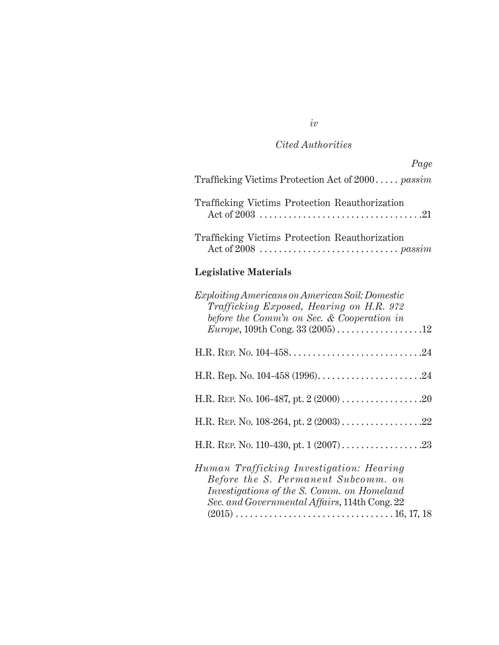| Page                                                                                                                                                                                            |
|-------------------------------------------------------------------------------------------------------------------------------------------------------------------------------------------------|
| Trafficking Victims Protection Act of $2000$ <i>passim</i>                                                                                                                                      |
| Trafficking Victims Protection Reauthorization                                                                                                                                                  |
| Trafficking Victims Protection Reauthorization                                                                                                                                                  |
| <b>Legislative Materials</b>                                                                                                                                                                    |
| $Exploiting Americans \, on American \, Soil: Domestic$<br>Trafficking Exposed, Hearing on H.R. 972<br>before the Comm'n on Sec. & Cooperation in<br><i>Europe</i> , 109th Cong. 33 $(2005)$ 12 |
|                                                                                                                                                                                                 |
|                                                                                                                                                                                                 |
|                                                                                                                                                                                                 |
|                                                                                                                                                                                                 |
|                                                                                                                                                                                                 |
| Human Trafficking Investigation: Hearing<br>Before the S. Permanent Subcomm. on<br>Investigations of the S. Comm. on Homeland<br>Sec. and Governmental Affairs, 114th Cong. 22                  |

*iv*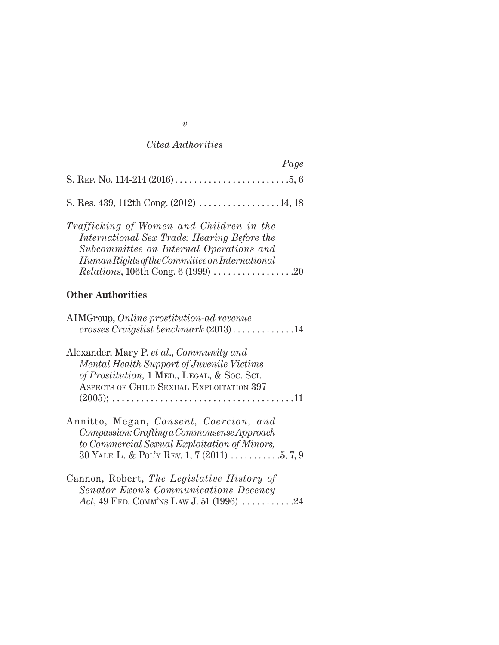| Page                                                                                                                                                                                                                               |
|------------------------------------------------------------------------------------------------------------------------------------------------------------------------------------------------------------------------------------|
|                                                                                                                                                                                                                                    |
| S. Res. 439, 112th Cong. (2012) 14, 18                                                                                                                                                                                             |
| Trafficking of Women and Children in the<br>International Sex Trade: Hearing Before the<br>Subcommittee on Internal Operations and<br>Human Rights of the Committee on International<br><i>Relations</i> , 106th Cong. 6 (1999) 20 |
| <b>Other Authorities</b>                                                                                                                                                                                                           |
| AIMGroup, Online prostitution-ad revenue                                                                                                                                                                                           |
| Alexander, Mary P. et al., Community and<br><b>Mental Health Support of Juvenile Victims</b><br>of Prostitution, 1 MED., LEGAL, & Soc. Sci.<br>ASPECTS OF CHILD SEXUAL EXPLOITATION 397                                            |
| Annitto, Megan, Consent, Coercion, and<br>$Compassion: Craffing a Commonsense Approach$<br>to Commercial Sexual Exploitation of Minors,<br>30 YALE L. & POL'Y REV. 1, 7 (2011) 5, 7, 9                                             |
| Cannon, Robert, The Legislative History of                                                                                                                                                                                         |

*Senator Exon's Communications Decency Act*, 49 Fed. Comm'ns Law J. 51 (1996) ............24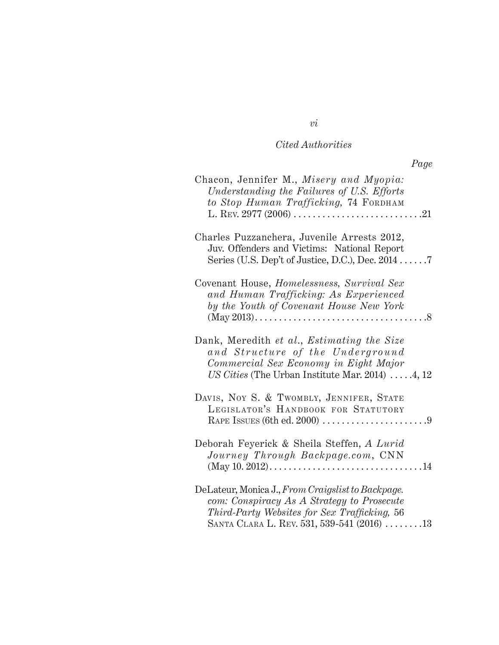| Chacon, Jennifer M., Misery and Myopia:<br>Understanding the Failures of U.S. Efforts |  |
|---------------------------------------------------------------------------------------|--|
| to Stop Human Trafficking, 74 FORDHAM                                                 |  |
|                                                                                       |  |
| Charles Puzzanchera, Juvenile Arrests 2012,                                           |  |
| Juv. Offenders and Victims: National Report                                           |  |
| Series (U.S. Dep't of Justice, D.C.), Dec. $2014$                                     |  |

*Page*

| Charles Puzzanchera, Juvenile Arrests 2012,<br>Juv. Offenders and Victims: National Report<br>Series (U.S. Dep't of Justice, D.C.), Dec. $2014$                                               |
|-----------------------------------------------------------------------------------------------------------------------------------------------------------------------------------------------|
| Covenant House, <i>Homelessness</i> , <i>Survival Sex</i><br>and Human Trafficking: As Experienced<br>by the Youth of Covenant House New York                                                 |
| Dank, Meredith et al., Estimating the Size<br>and Structure of the Underground<br>Commercial Sex Economy in Eight Major<br>US Cities (The Urban Institute Mar. 2014) $\dots$ .4, 12           |
| DAVIS, NOY S. & TWOMBLY, JENNIFER, STATE<br>LEGISLATOR'S HANDBOOK FOR STATUTORY                                                                                                               |
| Deborah Feyerick & Sheila Steffen, A Lurid<br>Journey Through Backpage.com, CNN                                                                                                               |
| DeLateur, Monica J., From Craigslist to Backpage.<br>com: Conspiracy As A Strategy to Prosecute<br>Third-Party Websites for Sex Trafficking, 56<br>SANTA CLARA L. REV. 531, 539-541 (2016) 13 |

#### *vi*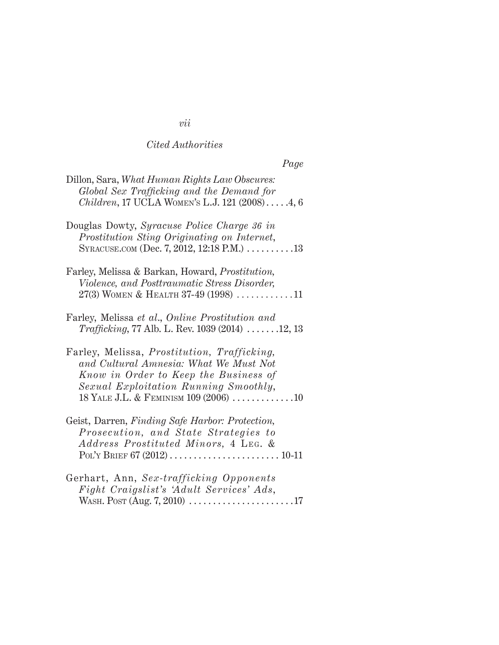# *Page*

| Dillon, Sara, What Human Rights Law Obscures:<br>Global Sex Trafficking and the Demand for<br><i>Children</i> , 17 UCLA WOMEN's L.J. 121 $(2008)$ 4, 6                                                           |
|------------------------------------------------------------------------------------------------------------------------------------------------------------------------------------------------------------------|
| Douglas Dowty, Syracuse Police Charge 36 in<br>Prostitution Sting Originating on Internet,<br>SYRACUSE.COM (Dec. 7, 2012, 12:18 P.M.) 13                                                                         |
| Farley, Melissa & Barkan, Howard, <i>Prostitution</i> ,<br>Violence, and Posttraumatic Stress Disorder,<br>$27(3)$ WOMEN & HEALTH 37-49 (1998) 11                                                                |
| Farley, Melissa et al., Online Prostitution and<br><i>Trafficking</i> , 77 Alb. L. Rev. 1039 (2014) $\dots \dots 12$ , 13                                                                                        |
| Farley, Melissa, Prostitution, Trafficking,<br>and Cultural Amnesia: What We Must Not<br>Know in Order to Keep the Business of<br>Sexual Exploitation Running Smoothly,<br>18 YALE J.L. & FEMINISM 109 (2006) 10 |
| Geist, Darren, Finding Safe Harbor: Protection,<br>Prosecution, and State Strategies to<br>Address Prostituted Minors, 4 LEG. &                                                                                  |
| Gerhart, Ann, Sex-trafficking Opponents<br>Fight Craigslist's 'Adult Services' Ads,<br>WASH. Post (Aug. 7, 2010) $\dots \dots \dots \dots \dots \dots \dots \dots 17$                                            |

# *vii*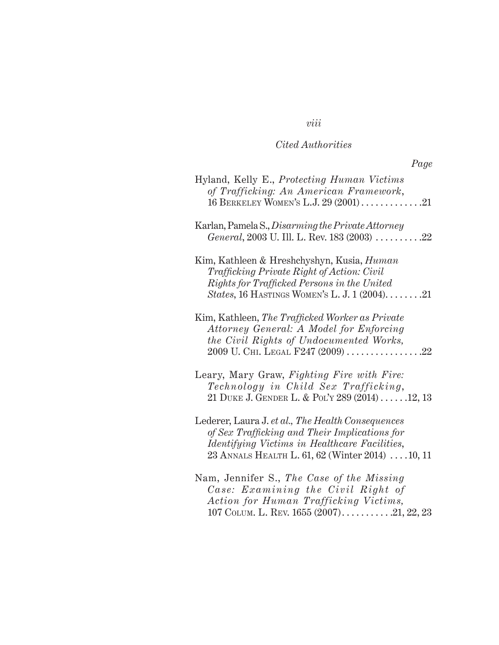*viii*

| Hyland, Kelly E., Protecting Human Victims<br>of Trafficking: An American Framework,<br>16 BERKELEY WOMEN'S L.J. 29 (2001) 21                                                                                         |
|-----------------------------------------------------------------------------------------------------------------------------------------------------------------------------------------------------------------------|
| Karlan, Pamela S., Disarming the Private Attorney<br>General, 2003 U. Ill. L. Rev. 183 (2003) 22                                                                                                                      |
| Kim, Kathleen & Hreshchyshyn, Kusia, <i>Human</i><br>Trafficking Private Right of Action: Civil<br>Rights for Trafficked Persons in the United<br><i>States,</i> 16 HASTINGS WOMEN'S L. J. 1 $(2004)$ 21              |
| Kim, Kathleen, The Trafficked Worker as Private<br>Attorney General: A Model for Enforcing<br>the Civil Rights of Undocumented Works,<br>$2009$ U. Chi. Legal F247 $(2009)$ 22                                        |
| Leary, Mary Graw, Fighting Fire with Fire:<br>Technology in Child Sex Trafficking,<br>21 DUKE J. GENDER L. & POL'Y 289 (2014)12, 13                                                                                   |
| Lederer, Laura J. et al., The Health Consequences<br>of Sex Trafficking and Their Implications for<br><i>Identifying Victims in Healthcare Facilities,</i><br>23 ANNALS HEALTH L. 61, 62 (Winter 2014) $\dots$ 10, 11 |
| Nam, Jennifer S., The Case of the Missing<br>Case: Examining the Civil Right of<br>Action for Human Trafficking Victims,                                                                                              |

107 COLUM. L. REV. 1655  $(2007)$ . . . . . . . . . . . 21, 22, 23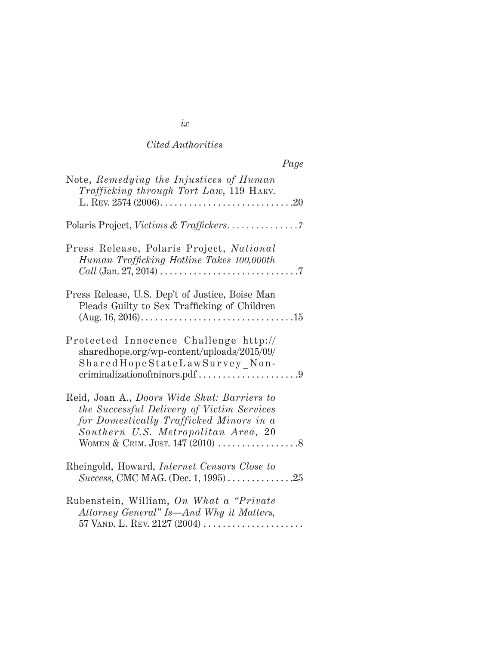|                                                                                                                                                                             | Page |
|-----------------------------------------------------------------------------------------------------------------------------------------------------------------------------|------|
| Note, Remedying the Injustices of Human<br>Trafficking through Tort Law, 119 HARV.                                                                                          |      |
|                                                                                                                                                                             |      |
| Press Release, Polaris Project, National<br>Human Trafficking Hotline Takes 100,000th                                                                                       |      |
| Press Release, U.S. Dep't of Justice, Boise Man<br>Pleads Guilty to Sex Trafficking of Children                                                                             |      |
| Protected Innocence Challenge http://<br>sharedhope.org/wp-content/uploads/2015/09/<br>SharedHopeStateLawSurvey Non-                                                        |      |
| Reid, Joan A., Doors Wide Shut: Barriers to<br>the Successful Delivery of Victim Services<br>for Domestically Trafficked Minors in a<br>Southern U.S. Metropolitan Area, 20 |      |
| Rheingold, Howard, <i>Internet Censors Close to</i><br><i>Success</i> , CMC MAG. (Dec. 1, 1995)25                                                                           |      |
| Rubenstein, William, On What a "Private"<br>Attorney General" Is—And Why it Matters,                                                                                        |      |

| ۰         |  |
|-----------|--|
| $\iota x$ |  |
|           |  |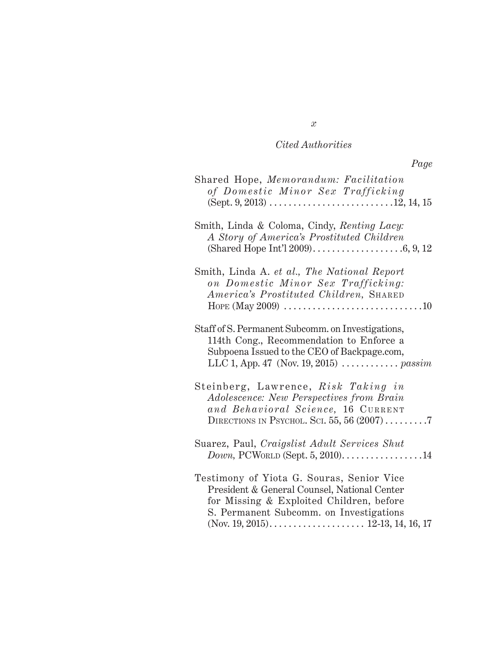| Shared Hope, Memorandum: Facilitation<br>of Domestic Minor Sex Trafficking                                                                                                                                                |
|---------------------------------------------------------------------------------------------------------------------------------------------------------------------------------------------------------------------------|
| Smith, Linda & Coloma, Cindy, Renting Lacy:<br>A Story of America's Prostituted Children                                                                                                                                  |
| Smith, Linda A. et al., The National Report<br>on Domestic Minor Sex Trafficking:<br>America's Prostituted Children, SHARED<br>HOPE (May 2009) $\ldots \ldots \ldots \ldots \ldots \ldots \ldots \ldots \ldots \ldots 10$ |
| Staff of S. Permanent Subcomm. on Investigations,<br>114th Cong., Recommendation to Enforce a<br>Subpoena Issued to the CEO of Backpage.com,<br>LLC 1, App. 47 (Nov. 19, 2015) <i>passim</i>                              |
| Steinberg, Lawrence, Risk Taking in<br>Adolescence: New Perspectives from Brain<br>and Behavioral Science, 16 CURRENT<br>DIRECTIONS IN PSYCHOL. SCI. 55, 56 $(2007)$                                                      |
| Suarez, Paul, Craigslist Adult Services Shut<br>$Down,$ PCWORLD (Sept. 5, 2010)14                                                                                                                                         |
| Testimony of Yiota G. Souras, Senior Vice<br>President & General Counsel, National Center<br>for Missing & Exploited Children, before<br>S. Permanent Subcomm. on Investigations                                          |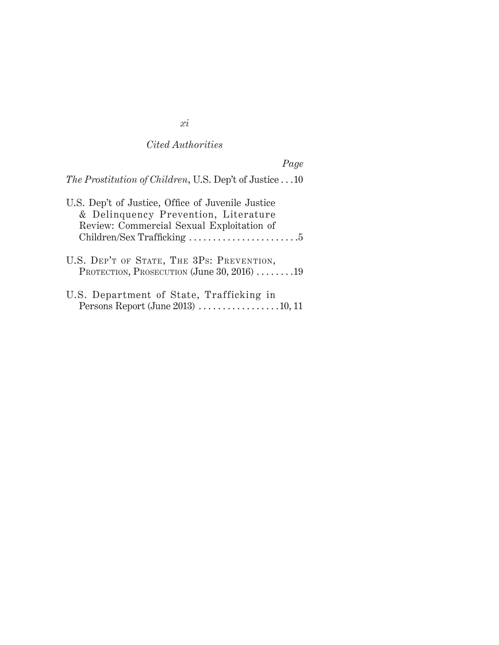# *Page*

| The Prostitution of Children, U.S. Dep't of Justice10 |  |  |
|-------------------------------------------------------|--|--|
|                                                       |  |  |

| U.S. Dep't of Justice, Office of Juvenile Justice                                                           |
|-------------------------------------------------------------------------------------------------------------|
| & Delinquency Prevention, Literature                                                                        |
| Review: Commercial Sexual Exploitation of                                                                   |
|                                                                                                             |
| U.S. DEP'T OF STATE, THE 3PS: PREVENTION,<br>PROTECTION, PROSECUTION (June 30, 2016) $\dots \dots \dots 19$ |
| U.S. Department of State, Trafficking in<br>Persons Report (June 2013) 10, 11                               |

# *xi*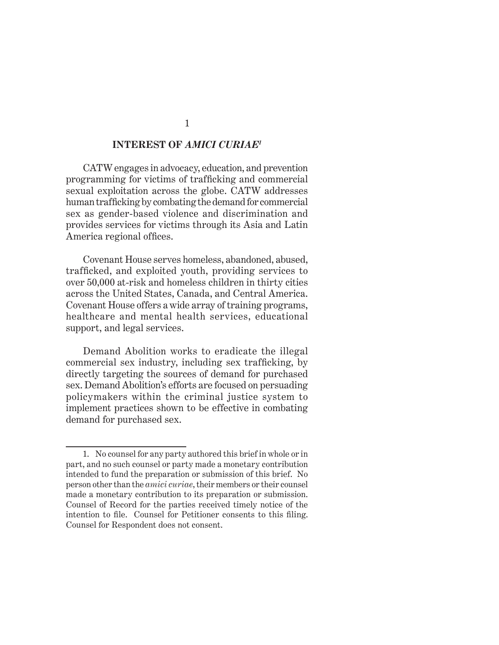#### **INTEREST OF** *AMICI CURIAE1*

CATW engages in advocacy, education, and prevention programming for victims of trafficking and commercial sexual exploitation across the globe. CATW addresses human trafficking by combating the demand for commercial sex as gender-based violence and discrimination and provides services for victims through its Asia and Latin America regional offices.

Covenant House serves homeless, abandoned, abused, trafficked, and exploited youth, providing services to over 50,000 at-risk and homeless children in thirty cities across the United States, Canada, and Central America. Covenant House offers a wide array of training programs, healthcare and mental health services, educational support, and legal services.

Demand Abolition works to eradicate the illegal commercial sex industry, including sex trafficking, by directly targeting the sources of demand for purchased sex. Demand Abolition's efforts are focused on persuading policymakers within the criminal justice system to implement practices shown to be effective in combating demand for purchased sex.

<sup>1.</sup> No counsel for any party authored this brief in whole or in part, and no such counsel or party made a monetary contribution intended to fund the preparation or submission of this brief. No person other than the *amici curiae*, their members or their counsel made a monetary contribution to its preparation or submission. Counsel of Record for the parties received timely notice of the intention to file. Counsel for Petitioner consents to this filing. Counsel for Respondent does not consent.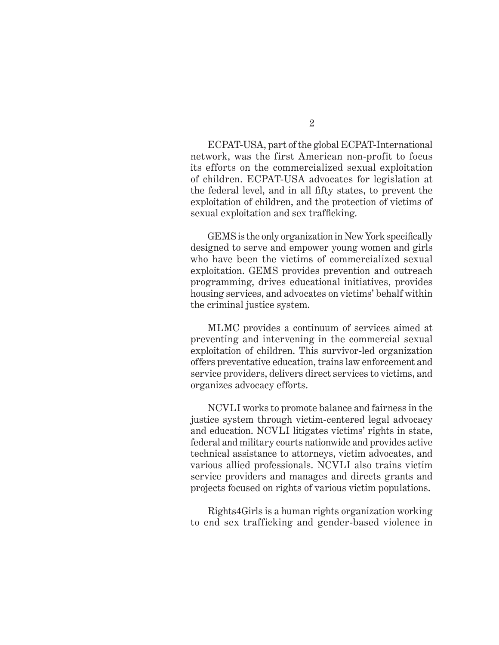ECPAT-USA, part of the global ECPAT-International network, was the first American non-profit to focus its efforts on the commercialized sexual exploitation of children. ECPAT-USA advocates for legislation at the federal level, and in all fifty states, to prevent the exploitation of children, and the protection of victims of sexual exploitation and sex trafficking.

GEMS is the only organization in New York specifically designed to serve and empower young women and girls who have been the victims of commercialized sexual exploitation. GEMS provides prevention and outreach programming, drives educational initiatives, provides housing services, and advocates on victims' behalf within the criminal justice system.

MLMC provides a continuum of services aimed at preventing and intervening in the commercial sexual exploitation of children. This survivor-led organization offers preventative education, trains law enforcement and service providers, delivers direct services to victims, and organizes advocacy efforts.

NCVLI works to promote balance and fairness in the justice system through victim-centered legal advocacy and education. NCVLI litigates victims' rights in state, federal and military courts nationwide and provides active technical assistance to attorneys, victim advocates, and various allied professionals. NCVLI also trains victim service providers and manages and directs grants and projects focused on rights of various victim populations.

Rights4Girls is a human rights organization working to end sex trafficking and gender-based violence in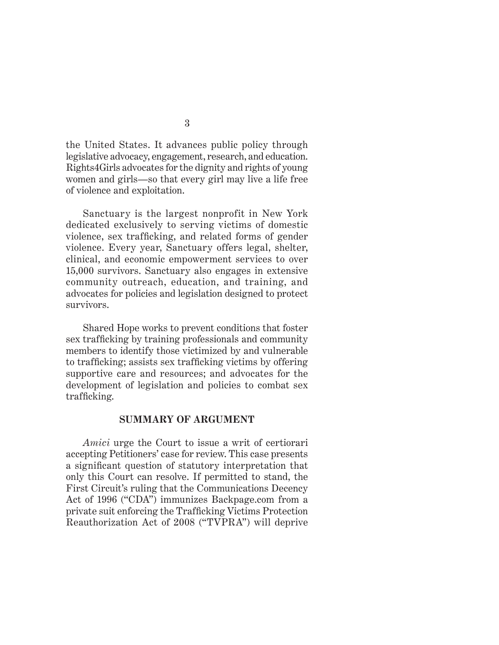the United States. It advances public policy through legislative advocacy, engagement, research, and education. Rights4Girls advocates for the dignity and rights of young women and girls—so that every girl may live a life free of violence and exploitation.

Sanctuary is the largest nonprofit in New York dedicated exclusively to serving victims of domestic violence, sex trafficking, and related forms of gender violence. Every year, Sanctuary offers legal, shelter, clinical, and economic empowerment services to over 15,000 survivors. Sanctuary also engages in extensive community outreach, education, and training, and advocates for policies and legislation designed to protect survivors.

Shared Hope works to prevent conditions that foster sex trafficking by training professionals and community members to identify those victimized by and vulnerable to trafficking; assists sex trafficking victims by offering supportive care and resources; and advocates for the development of legislation and policies to combat sex trafficking.

#### **SUMMARY OF ARGUMENT**

*Amici* urge the Court to issue a writ of certiorari accepting Petitioners' case for review. This case presents a significant question of statutory interpretation that only this Court can resolve. If permitted to stand, the First Circuit's ruling that the Communications Decency Act of 1996 ("CDA") immunizes Backpage.com from a private suit enforcing the Trafficking Victims Protection Reauthorization Act of 2008 ("TVPRA") will deprive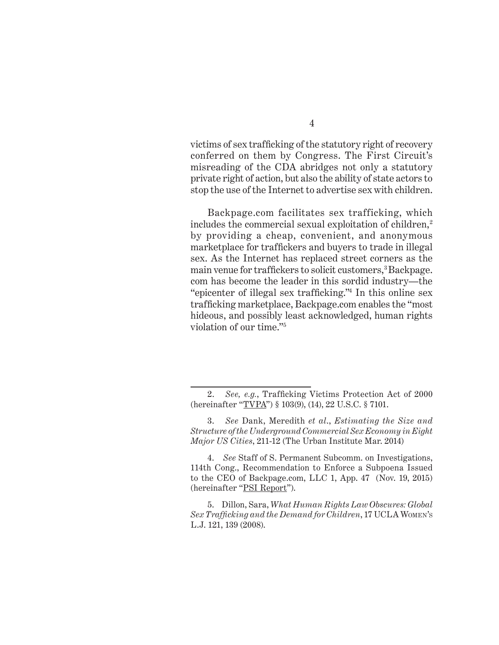victims of sex trafficking of the statutory right of recovery conferred on them by Congress. The First Circuit's misreading of the CDA abridges not only a statutory private right of action, but also the ability of state actors to stop the use of the Internet to advertise sex with children.

Backpage.com facilitates sex trafficking, which includes the commercial sexual exploitation of children,<sup>2</sup> by providing a cheap, convenient, and anonymous marketplace for traffickers and buyers to trade in illegal sex. As the Internet has replaced street corners as the main venue for traffickers to solicit customers,<sup>3</sup> Backpage. com has become the leader in this sordid industry—the "epicenter of illegal sex trafficking."<sup>4</sup> In this online sex trafficking marketplace, Backpage.com enables the "most hideous, and possibly least acknowledged, human rights violation of our time."5

<sup>2.</sup> *See, e.g.*, Trafficking Victims Protection Act of 2000 (hereinafter "TVPA") § 103(9), (14), 22 U.S.C. § 7101.

<sup>3.</sup> *See* Dank, Meredith *et al*., *Estimating the Size and Structure of the Underground Commercial Sex Economy in Eight Major US Cities*, 211-12 (The Urban Institute Mar. 2014)

<sup>4.</sup> *See* Staff of S. Permanent Subcomm. on Investigations, 114th Cong., Recommendation to Enforce a Subpoena Issued to the CEO of Backpage.com, LLC 1, App. 47 (Nov. 19, 2015) (hereinafter "PSI Report").

<sup>5.</sup> Dillon, Sara, *What Human Rights Law Obscures: Global Sex Trafficking and the Demand for Children*, 17 UCLA Women's L.J. 121, 139 (2008).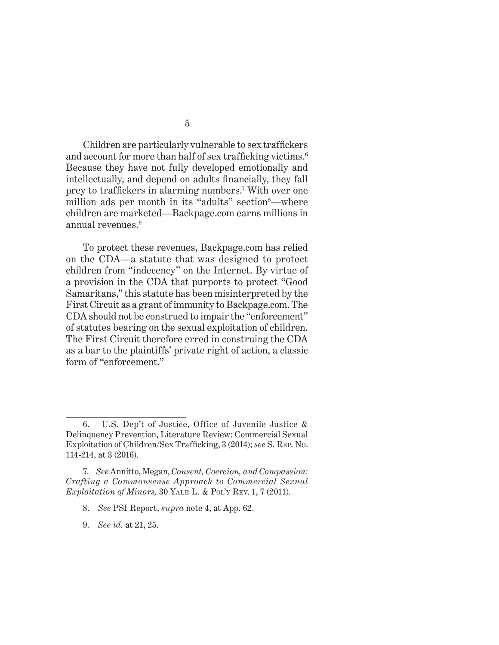Children are particularly vulnerable to sex traffickers and account for more than half of sex trafficking victims.<sup>6</sup> Because they have not fully developed emotionally and intellectually, and depend on adults financially, they fall prey to traffickers in alarming numbers.<sup>7</sup> With over one million ads per month in its "adults" section<sup>8</sup>—where children are marketed—Backpage.com earns millions in annual revenues.9

To protect these revenues, Backpage.com has relied on the CDA—a statute that was designed to protect children from "indecency" on the Internet. By virtue of a provision in the CDA that purports to protect "Good Samaritans," this statute has been misinterpreted by the First Circuit as a grant of immunity to Backpage.com. The CDA should not be construed to impair the "enforcement" of statutes bearing on the sexual exploitation of children. The First Circuit therefore erred in construing the CDA as a bar to the plaintiffs' private right of action, a classic form of "enforcement."

- 8. *See* PSI Report, *supra* note 4, at App. 62.
- 9. *See id.* at 21, 25.

<sup>6.</sup> U.S. Dep't of Justice, Office of Juvenile Justice & Delinquency Prevention, Literature Review: Commercial Sexual Exploitation of Children/Sex Trafficking, 3 (2014); *see* S. Rep. No. 114-214, at 3 (2016).

<sup>7.</sup> *See* Annitto, Megan, *Consent, Coercion, and Compassion: Crafting a Commonsense Approach to Commercial Sexual Exploitation of Minors,* 30 Yale L. & Pol'y Rev. 1, 7 (2011).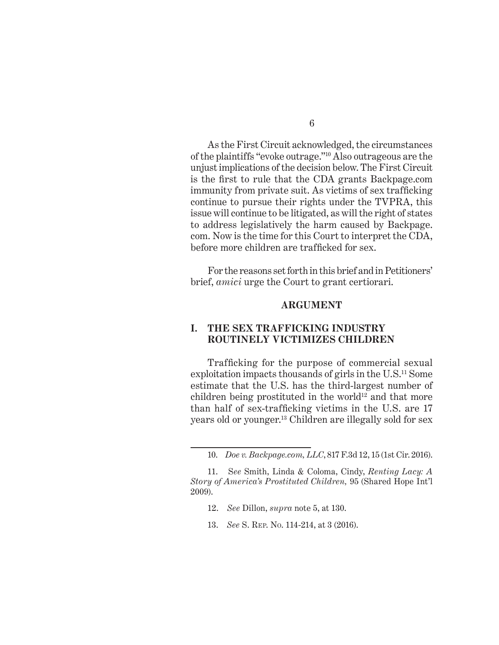As the First Circuit acknowledged, the circumstances of the plaintiffs "evoke outrage."10 Also outrageous are the unjust implications of the decision below. The First Circuit is the first to rule that the CDA grants Backpage.com immunity from private suit. As victims of sex trafficking continue to pursue their rights under the TVPRA, this issue will continue to be litigated, as will the right of states to address legislatively the harm caused by Backpage. com. Now is the time for this Court to interpret the CDA, before more children are trafficked for sex.

For the reasons set forth in this brief and in Petitioners' brief, *amici* urge the Court to grant certiorari.

#### **ARGUMENT**

#### **I. The SEX TRAFFICKING Industry ROUTINELY VICTIMIZES CHILDREN**

Trafficking for the purpose of commercial sexual exploitation impacts thousands of girls in the U.S.11 Some estimate that the U.S. has the third-largest number of children being prostituted in the world<sup>12</sup> and that more than half of sex-trafficking victims in the U.S. are 17 years old or younger.13 Children are illegally sold for sex

- 12. *See* Dillon, *supra* note 5, at 130.
- 13. *See* S. Rep. No. 114-214, at 3 (2016).

<sup>10.</sup> *Doe v. Backpage.com, LLC*, 817 F.3d 12, 15 (1st Cir. 2016).

<sup>11.</sup> S*ee* Smith, Linda & Coloma, Cindy, *Renting Lacy: A Story of America's Prostituted Children,* 95 (Shared Hope Int'l 2009).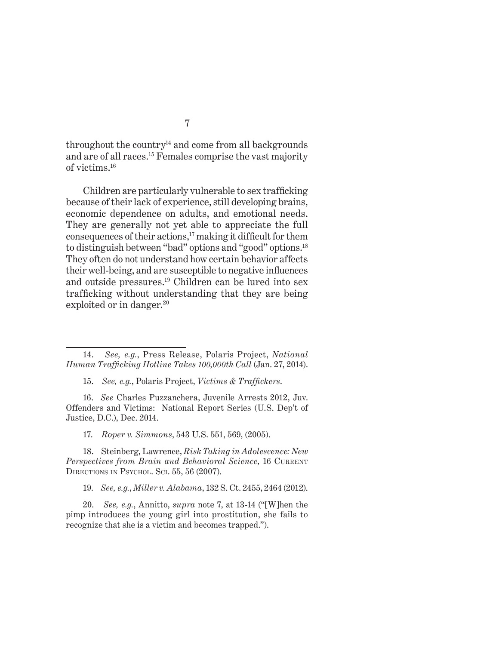throughout the country<sup>14</sup> and come from all backgrounds and are of all races.15 Females comprise the vast majority of victims.16

Children are particularly vulnerable to sex trafficking because of their lack of experience, still developing brains, economic dependence on adults, and emotional needs. They are generally not yet able to appreciate the full consequences of their actions,<sup>17</sup> making it difficult for them to distinguish between "bad" options and "good" options.18 They often do not understand how certain behavior affects their well-being, and are susceptible to negative influences and outside pressures.19 Children can be lured into sex trafficking without understanding that they are being exploited or in danger.<sup>20</sup>

17. *Roper v. Simmons*, 543 U.S. 551, 569, (2005).

18. Steinberg, Lawrence, *Risk Taking in Adolescence: New Perspectives from Brain and Behavioral Science*, 16 CURRENT DIRECTIONS IN PSYCHOL. SCI. 55, 56 (2007).

19. *See, e.g.*, *Miller v. Alabama*, 132 S. Ct. 2455, 2464 (2012).

20. *See, e.g.*, Annitto, *supra* note 7, at 13-14 ("[W]hen the pimp introduces the young girl into prostitution, she fails to recognize that she is a victim and becomes trapped.").

<sup>14.</sup> *See, e.g.*, Press Release, Polaris Project, *National Human Trafficking Hotline Takes 100,000th Call* (Jan. 27, 2014).

<sup>15.</sup> *See, e.g.*, Polaris Project, *Victims & Traffickers*.

<sup>16.</sup> *See* Charles Puzzanchera, Juvenile Arrests 2012, Juv. Offenders and Victims: National Report Series (U.S. Dep't of Justice, D.C.), Dec. 2014.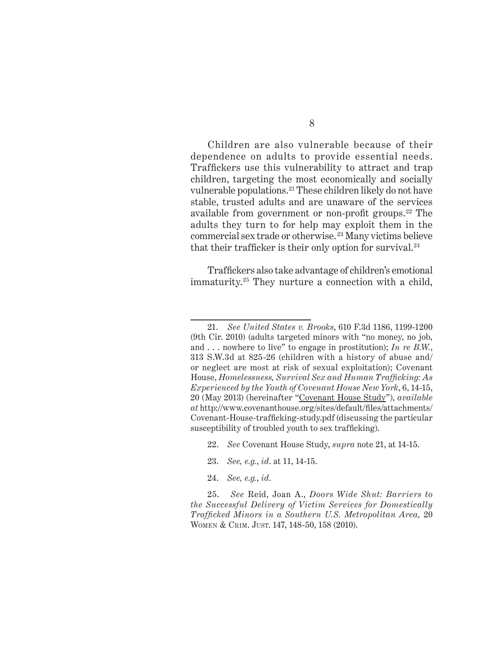Children are also vulnerable because of their dependence on adults to provide essential needs. Traffickers use this vulnerability to attract and trap children, targeting the most economically and socially vulnerable populations.21 These children likely do not have stable, trusted adults and are unaware of the services available from government or non-profit groups. $22$  The adults they turn to for help may exploit them in the commercial sex trade or otherwise. 23 Many victims believe that their trafficker is their only option for survival. $24$ 

Traffickers also take advantage of children's emotional immaturity.25 They nurture a connection with a child,

- 22. *See* Covenant House Study, *supra* note 21, at 14-15.
- 23. *See, e.g.*, *id*. at 11, 14-15.
- 24. *See, e.g.*, *id*.

<sup>21.</sup> *See United States v. Brooks*, 610 F.3d 1186, 1199-1200 (9th Cir. 2010) (adults targeted minors with "no money, no job, and . . . nowhere to live" to engage in prostitution); *In re B.W.*, 313 S.W.3d at 825-26 (children with a history of abuse and/ or neglect are most at risk of sexual exploitation); Covenant House, *Homelessness, Survival Sex and Human Trafficking: As Experienced by the Youth of Covenant House New York*, 6, 14-15, 20 (May 2013) (hereinafter "Covenant House Study"), *available at* http://www.covenanthouse.org/sites/default/files/attachments/ Covenant-House-trafficking-study.pdf (discussing the particular susceptibility of troubled youth to sex trafficking).

<sup>25.</sup> *See* Reid, Joan A., *Doors Wide Shut: Barriers to the Successful Delivery of Victim Services for Domestically Trafficked Minors in a Southern U.S. Metropolitan Area,* 20 WOMEN & CRIM. JUST. 147, 148-50, 158 (2010).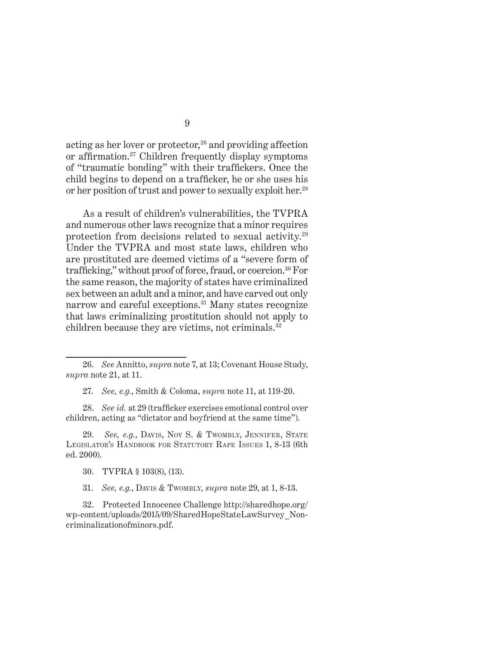acting as her lover or protector, $26$  and providing affection or affirmation.27 Children frequently display symptoms of "traumatic bonding" with their traffickers. Once the child begins to depend on a trafficker, he or she uses his or her position of trust and power to sexually exploit her.28

As a result of children's vulnerabilities, the TVPRA and numerous other laws recognize that a minor requires protection from decisions related to sexual activity.29 Under the TVPRA and most state laws, children who are prostituted are deemed victims of a "severe form of trafficking," without proof of force, fraud, or coercion.<sup>30</sup> For the same reason, the majority of states have criminalized sex between an adult and a minor, and have carved out only narrow and careful exceptions.31 Many states recognize that laws criminalizing prostitution should not apply to children because they are victims, not criminals.32

27. *See, e.g.*, Smith & Coloma, *supra* note 11, at 119-20.

28. *See id.* at 29 (trafficker exercises emotional control over children, acting as "dictator and boyfriend at the same time").

29. *See, e.g.*, DAVIS, NOY S. & TWOMBLY, JENNIFER, STATE LEGISLATOR'S HANDBOOK FOR STATUTORY RAPE ISSUES 1, 8-13 (6th) ed. 2000).

30. TVPRA § 103(8), (13).

31. *See, e.g.*, Davis & Twombly, *supra* note 29, at 1, 8-13.

32. Protected Innocence Challenge http://sharedhope.org/ wp-content/uploads/2015/09/SharedHopeStateLawSurvey\_Noncriminalizationofminors.pdf.

<sup>26.</sup> *See* Annitto, *supra* note 7, at 13; Covenant House Study, *supra* note 21, at 11.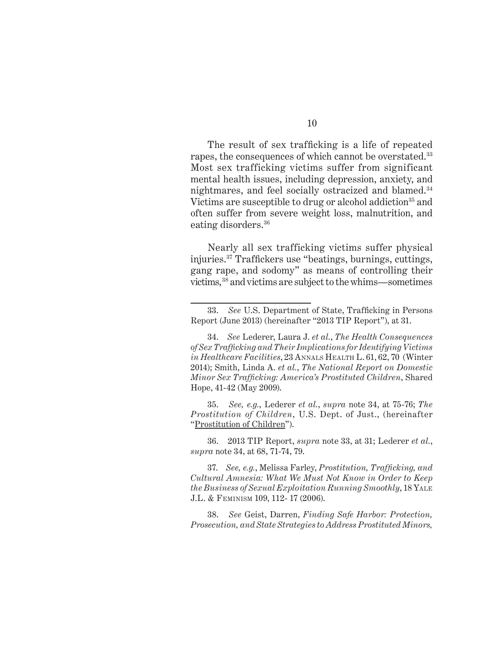The result of sex trafficking is a life of repeated rapes, the consequences of which cannot be overstated.<sup>33</sup> Most sex trafficking victims suffer from significant mental health issues, including depression, anxiety, and nightmares, and feel socially ostracized and blamed.34 Victims are susceptible to drug or alcohol addiction<sup>35</sup> and often suffer from severe weight loss, malnutrition, and eating disorders.<sup>36</sup>

Nearly all sex trafficking victims suffer physical injuries.37 Traffickers use "beatings, burnings, cuttings, gang rape, and sodomy" as means of controlling their victims,38 and victims are subject to the whims—sometimes

35. *See, e.g.*, Lederer *et al.*, *supra* note 34, at 75-76; *The Prostitution of Children*, U.S. Dept. of Just., (hereinafter "Prostitution of Children").

36. 2013 TIP Report, *supra* note 33, at 31; Lederer *et al.*, *supra* note 34, at 68, 71-74, 79.

37. *See, e.g.*, Melissa Farley, *Prostitution, Trafficking, and Cultural Amnesia: What We Must Not Know in Order to Keep the Business of Sexual Exploitation Running Smoothly*, 18 Yale J.L. & Feminism 109, 112- 17 (2006).

38. *See* Geist, Darren, *Finding Safe Harbor: Protection, Prosecution, and State Strategies to Address Prostituted Minors,* 

<sup>33.</sup> *See* U.S. Department of State, Trafficking in Persons Report (June 2013) (hereinafter "2013 TIP Report"), at 31.

<sup>34.</sup> *See* Lederer, Laura J. *et al.*, *The Health Consequences of Sex Trafficking and Their Implications for Identifying Victims in Healthcare Facilities*, 23 Annals Health L. 61, 62, 70 (Winter 2014); Smith, Linda A. *et al.*, *The National Report on Domestic Minor Sex Trafficking: America's Prostituted Children*, Shared Hope, 41-42 (May 2009).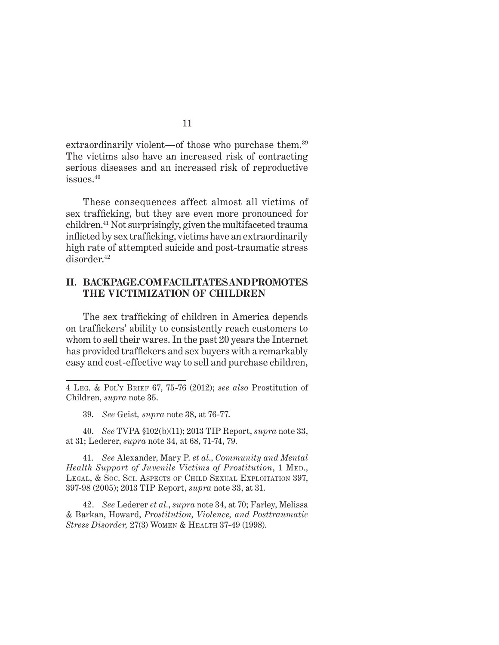extraordinarily violent—of those who purchase them.<sup>39</sup> The victims also have an increased risk of contracting serious diseases and an increased risk of reproductive issues.40

These consequences affect almost all victims of sex trafficking, but they are even more pronounced for children.41 Not surprisingly, given the multifaceted trauma inflicted by sex trafficking, victims have an extraordinarily high rate of attempted suicide and post-traumatic stress disorder.42

#### **II. backpage.comfacilitatesandpromotes the victimization of children**

The sex trafficking of children in America depends on traffickers' ability to consistently reach customers to whom to sell their wares. In the past 20 years the Internet has provided traffickers and sex buyers with a remarkably easy and cost-effective way to sell and purchase children,

39. *See* Geist*, supra* note 38, at 76-77.

40. *See* TVPA §102(b)(11); 2013 TIP Report, *supra* note 33, at 31; Lederer, *supra* note 34, at 68, 71-74, 79.

41. *See* Alexander, Mary P. *et al*., *Community and Mental Health Support of Juvenile Victims of Prostitution*, 1 MED., LEGAL, & Soc. Sci. Aspects of Child Sexual Exploitation 397, 397-98 (2005); 2013 TIP Report, *supra* note 33, at 31.

42. *See* Lederer *et al.*, *supra* note 34, at 70; Farley, Melissa & Barkan, Howard, *Prostitution, Violence, and Posttraumatic Stress Disorder,* 27(3) Women & Health 37-49 (1998).

<sup>4</sup> Leg. & Pol'y Brief 67, 75-76 (2012); *see also* Prostitution of Children, *supra* note 35.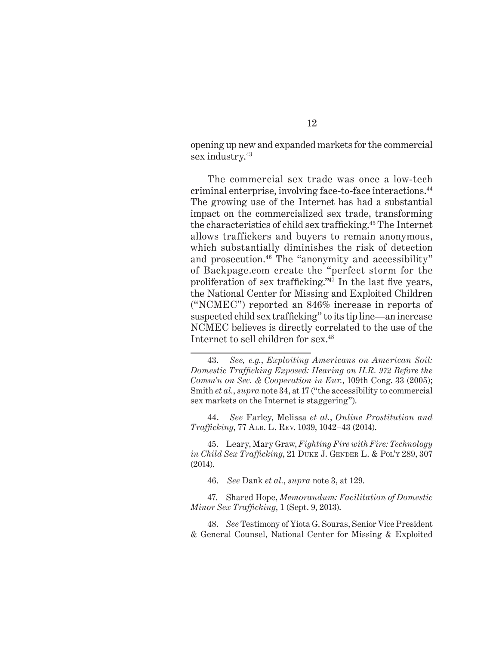opening up new and expanded markets for the commercial sex industry.<sup>43</sup>

The commercial sex trade was once a low-tech criminal enterprise, involving face-to-face interactions.44 The growing use of the Internet has had a substantial impact on the commercialized sex trade, transforming the characteristics of child sex trafficking.45 The Internet allows traffickers and buyers to remain anonymous, which substantially diminishes the risk of detection and prosecution.<sup>46</sup> The "anonymity and accessibility" of Backpage.com create the "perfect storm for the proliferation of sex trafficking."47 In the last five years, the National Center for Missing and Exploited Children ("NCMEC") reported an 846% increase in reports of suspected child sex trafficking" to its tip line—an increase NCMEC believes is directly correlated to the use of the Internet to sell children for sex.48

44. *See* Farley, Melissa *et al.*, *Online Prostitution and Trafficking*, 77 Alb. L. Rev. 1039, 1042–43 (2014).

45. Leary, Mary Graw, *Fighting Fire with Fire: Technology in Child Sex Trafficking*, 21 DUKE J. GENDER L. & Pol'y 289, 307 (2014).

46. *See* Dank *et al.*, *supra* note 3, at 129.

47. Shared Hope, *Memorandum: Facilitation of Domestic Minor Sex Trafficking*, 1 (Sept. 9, 2013).

48. *See* Testimony of Yiota G. Souras, Senior Vice President & General Counsel, National Center for Missing & Exploited

<sup>43.</sup> *See, e.g.*, *Exploiting Americans on American Soil: Domestic Trafficking Exposed: Hearing on H.R. 972 Before the Comm'n on Sec. & Cooperation in Eur.*, 109th Cong. 33 (2005); Smith *et al.*, *supra* note 34, at 17 ("the accessibility to commercial sex markets on the Internet is staggering").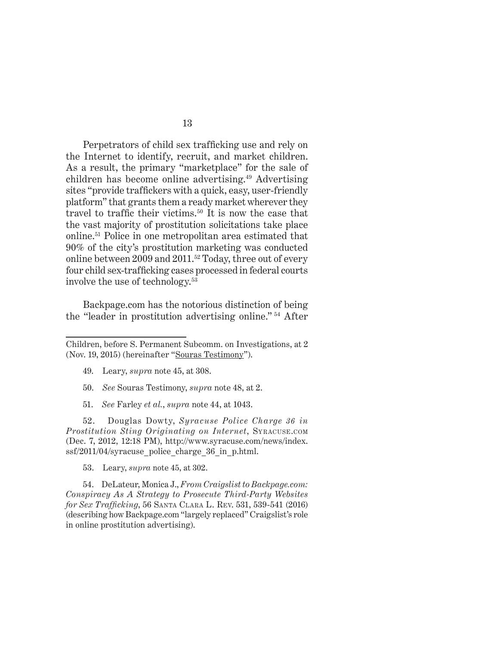Perpetrators of child sex trafficking use and rely on the Internet to identify, recruit, and market children. As a result, the primary "marketplace" for the sale of children has become online advertising.<sup>49</sup> Advertising sites "provide traffickers with a quick, easy, user-friendly platform" that grants them a ready market wherever they travel to traffic their victims.<sup>50</sup> It is now the case that the vast majority of prostitution solicitations take place online.51 Police in one metropolitan area estimated that 90% of the city's prostitution marketing was conducted online between 2009 and 2011.52 Today, three out of every four child sex-trafficking cases processed in federal courts involve the use of technology.53

Backpage.com has the notorious distinction of being the "leader in prostitution advertising online." 54 After

51. *See* Farley *et al.*, *supra* note 44, at 1043.

52. Douglas Dowty, *Syracuse Police Charge 36 in Prostitution Sting Originating on Internet*, Syracuse.com (Dec. 7, 2012, 12:18 PM), http://www.syracuse.com/news/index.  $ssf/2011/04$ /syracuse police charge 36 in p.html.

53. Leary, *supra* note 45, at 302.

54. DeLateur, Monica J., *From Craigslist to Backpage.com: Conspiracy As A Strategy to Prosecute Third-Party Websites for Sex Trafficking*, 56 Santa Clara L. Rev. 531, 539-541 (2016) (describing how Backpage.com "largely replaced" Craigslist's role in online prostitution advertising).

Children, before S. Permanent Subcomm. on Investigations, at 2 (Nov. 19, 2015) (hereinafter "Souras Testimony").

<sup>49.</sup> Leary, *supra* note 45, at 308.

<sup>50.</sup> *See* Souras Testimony, *supra* note 48, at 2.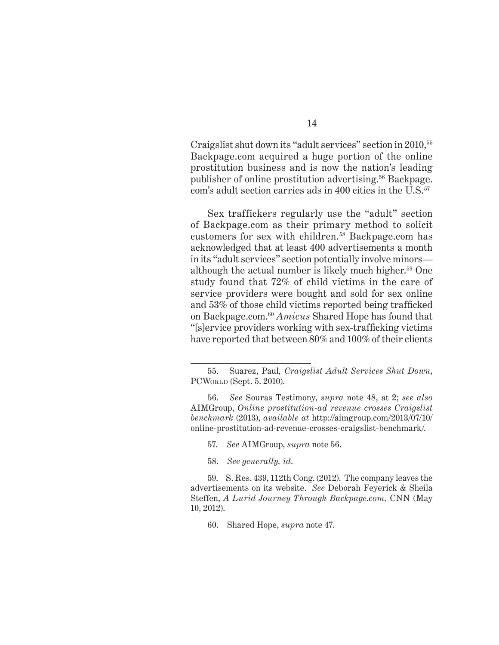Craigslist shut down its "adult services" section in 2010,55 Backpage.com acquired a huge portion of the online prostitution business and is now the nation's leading publisher of online prostitution advertising.56 Backpage. com's adult section carries ads in 400 cities in the U.S.<sup>57</sup>

Sex traffickers regularly use the "adult" section of Backpage.com as their primary method to solicit customers for sex with children.58 Backpage.com has acknowledged that at least 400 advertisements a month in its "adult services" section potentially involve minors although the actual number is likely much higher.59 One study found that 72% of child victims in the care of service providers were bought and sold for sex online and 53% of those child victims reported being trafficked on Backpage.com.60 *Amicus* Shared Hope has found that "[s]ervice providers working with sex-trafficking victims have reported that between 80% and 100% of their clients

57. *See* AIMGroup, *supra* note 56.

58. *See generally, id*.

59. S. Res. 439, 112th Cong. (2012). The company leaves the advertisements on its website. *See* Deborah Feyerick & Sheila Steffen, *A Lurid Journey Through Backpage.com,* CNN (May 10, 2012).

60. Shared Hope, *supra* note 47.

<sup>55.</sup> Suarez, Paul*, Craigslist Adult Services Shut Down*, PCWorld (Sept. 5. 2010).

<sup>56.</sup> *See* Souras Testimony, *supra* note 48, at 2; *see also* AIMGroup, *Online prostitution-ad revenue crosses Craigslist benchmark* (2013), *available at* http://aimgroup.com/2013/07/10/ online-prostitution-ad-revenue-crosses-craigslist-benchmark/.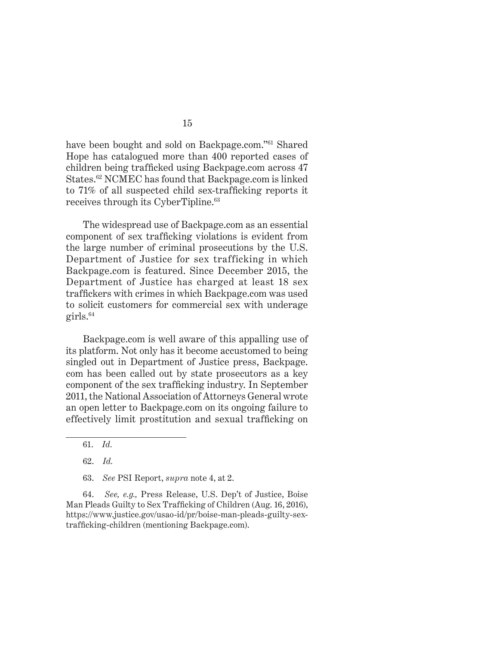have been bought and sold on Backpage.com."61 Shared Hope has catalogued more than 400 reported cases of children being trafficked using Backpage.com across 47 States.<sup>62</sup> NCMEC has found that Backpage.com is linked to 71% of all suspected child sex-trafficking reports it receives through its CyberTipline.<sup>63</sup>

The widespread use of Backpage.com as an essential component of sex trafficking violations is evident from the large number of criminal prosecutions by the U.S. Department of Justice for sex trafficking in which Backpage.com is featured. Since December 2015, the Department of Justice has charged at least 18 sex traffickers with crimes in which Backpage.com was used to solicit customers for commercial sex with underage  $grils.<sup>64</sup>$ 

Backpage.com is well aware of this appalling use of its platform. Not only has it become accustomed to being singled out in Department of Justice press, Backpage. com has been called out by state prosecutors as a key component of the sex trafficking industry. In September 2011, the National Association of Attorneys General wrote an open letter to Backpage.com on its ongoing failure to effectively limit prostitution and sexual trafficking on

61. *Id.*

62. *Id.*

63. *See* PSI Report, *supra* note 4, at 2.

64. *See, e.g.,* Press Release, U.S. Dep't of Justice, Boise Man Pleads Guilty to Sex Trafficking of Children (Aug. 16, 2016), https://www.justice.gov/usao-id/pr/boise-man-pleads-guilty-sextrafficking-children (mentioning Backpage.com).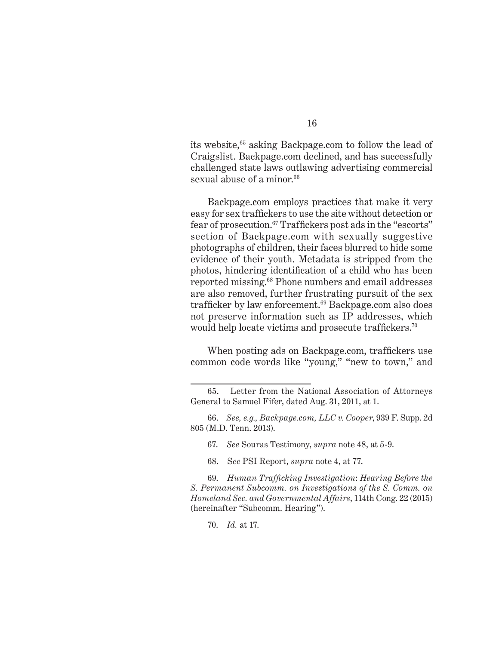its website,<sup>65</sup> asking Backpage.com to follow the lead of Craigslist. Backpage.com declined, and has successfully challenged state laws outlawing advertising commercial sexual abuse of a minor.<sup>66</sup>

Backpage.com employs practices that make it very easy for sex traffickers to use the site without detection or fear of prosecution.<sup>67</sup> Traffickers post ads in the "escorts" section of Backpage.com with sexually suggestive photographs of children, their faces blurred to hide some evidence of their youth. Metadata is stripped from the photos, hindering identification of a child who has been reported missing.68 Phone numbers and email addresses are also removed, further frustrating pursuit of the sex trafficker by law enforcement.<sup>69</sup> Backpage.com also does not preserve information such as IP addresses, which would help locate victims and prosecute traffickers.<sup>70</sup>

When posting ads on Backpage.com, traffickers use common code words like "young," "new to town," and

- 67. *See* Souras Testimony, *supra* note 48, at 5-9.
- 68. S*ee* PSI Report, *supra* note 4, at 77.

69. *Human Trafficking Investigation*: *Hearing Before the S. Permanent Subcomm. on Investigations of the S. Comm. on Homeland Sec. and Governmental Affairs*, 114th Cong. 22 (2015) (hereinafter "Subcomm. Hearing").

70. *Id.* at 17.

<sup>65.</sup> Letter from the National Association of Attorneys General to Samuel Fifer, dated Aug. 31, 2011, at 1.

<sup>66.</sup> *See, e.g., Backpage.com, LLC v. Cooper*, 939 F. Supp. 2d 805 (M.D. Tenn. 2013).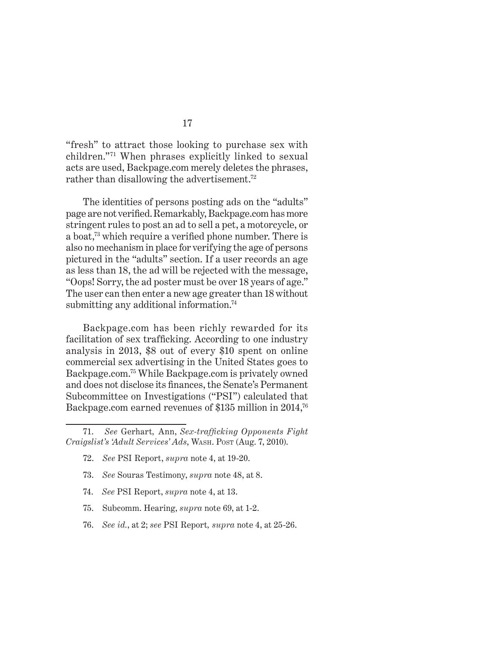"fresh" to attract those looking to purchase sex with children."71 When phrases explicitly linked to sexual acts are used, Backpage.com merely deletes the phrases, rather than disallowing the advertisement.<sup>72</sup>

The identities of persons posting ads on the "adults" page are not verified.Remarkably, Backpage.com has more stringent rules to post an ad to sell a pet, a motorcycle, or a boat,73 which require a verified phone number. There is also no mechanism in place for verifying the age of persons pictured in the "adults" section. If a user records an age as less than 18, the ad will be rejected with the message, "Oops! Sorry, the ad poster must be over 18 years of age." The user can then enter a new age greater than 18 without submitting any additional information.<sup>74</sup>

Backpage.com has been richly rewarded for its facilitation of sex trafficking. According to one industry analysis in 2013, \$8 out of every \$10 spent on online commercial sex advertising in the United States goes to Backpage.com.75 While Backpage.com is privately owned and does not disclose its finances, the Senate's Permanent Subcommittee on Investigations ("PSI") calculated that Backpage.com earned revenues of \$135 million in 2014,<sup>76</sup>

- 73. *See* Souras Testimony, *supra* note 48, at 8.
- 74. *See* PSI Report, *supra* note 4, at 13.
- 75. Subcomm. Hearing, *supra* note 69, at 1-2.
- 76. *See id.*, at 2; *see* PSI Report*, supra* note 4, at 25-26.

<sup>71.</sup> *See* Gerhart*,* Ann, *Sex-trafficking Opponents Fight Craigslist's 'Adult Services' Ads*, Wash. Post (Aug. 7, 2010).

<sup>72.</sup> *See* PSI Report, *supra* note 4, at 19-20.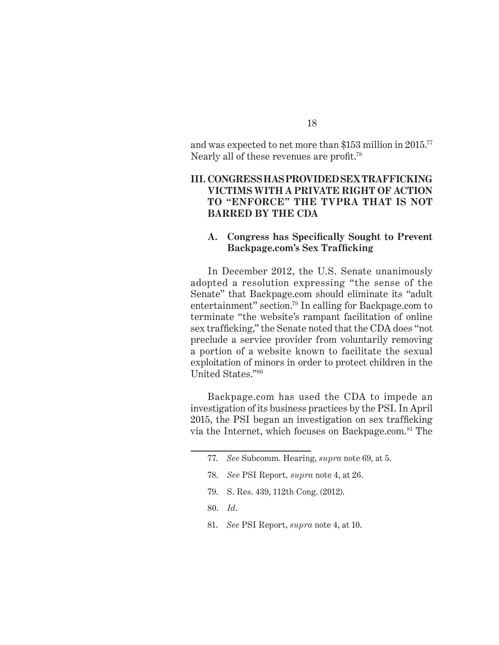and was expected to net more than \$153 million in 2015.77 Nearly all of these revenues are profit.<sup>78</sup>

### **III. Congresshasprovided SEX TRAFFICKING VICTIMS WITH a Private Right of Action to "Enforce" the TVPRA THAT IS NOT BARRED BY The CDA**

#### **A. Congress has Specifically Sought to Prevent Backpage.com's Sex Trafficking**

In December 2012, the U.S. Senate unanimously adopted a resolution expressing "the sense of the Senate" that Backpage.com should eliminate its "adult entertainment" section.79 In calling for Backpage.com to terminate "the website's rampant facilitation of online sex trafficking," the Senate noted that the CDA does "not preclude a service provider from voluntarily removing a portion of a website known to facilitate the sexual exploitation of minors in order to protect children in the United States."80

Backpage.com has used the CDA to impede an investigation of its business practices by the PSI. In April 2015, the PSI began an investigation on sex trafficking via the Internet, which focuses on Backpage.com.<sup>81</sup> The

- 79. S. Res. 439, 112th Cong. (2012).
- 80. *Id*.
- 81. *See* PSI Report, *supra* note 4, at 10.

<sup>77.</sup> *See* Subcomm. Hearing, *supra* note 69, at 5.

<sup>78.</sup> *See* PSI Report*, supra* note 4, at 26.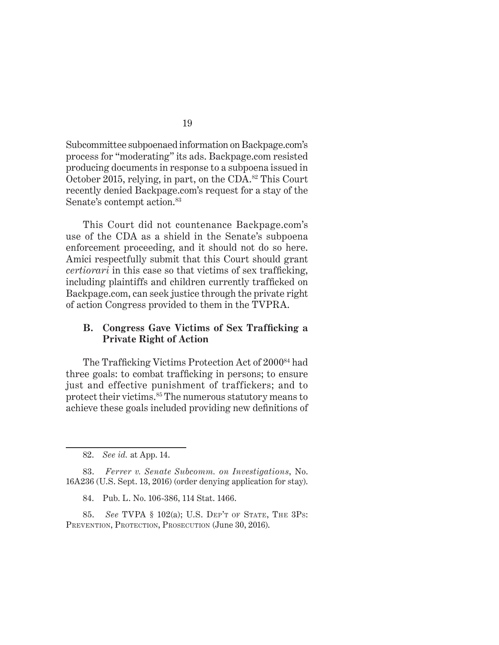Subcommittee subpoenaed information on Backpage.com's process for "moderating" its ads. Backpage.com resisted producing documents in response to a subpoena issued in October 2015, relying, in part, on the CDA.82 This Court recently denied Backpage.com's request for a stay of the Senate's contempt action.<sup>83</sup>

This Court did not countenance Backpage.com's use of the CDA as a shield in the Senate's subpoena enforcement proceeding, and it should not do so here. Amici respectfully submit that this Court should grant *certiorari* in this case so that victims of sex trafficking, including plaintiffs and children currently trafficked on Backpage.com, can seek justice through the private right of action Congress provided to them in the TVPRA.

### **B. Congress Gave Victims of Sex Trafficking a Private Right of Action**

The Trafficking Victims Protection Act of 200084 had three goals: to combat trafficking in persons; to ensure just and effective punishment of traffickers; and to protect their victims.85 The numerous statutory means to achieve these goals included providing new definitions of

83. *Ferrer v. Senate Subcomm. on Investigations*, No. 16A236 (U.S. Sept. 13, 2016) (order denying application for stay).

84. Pub. L. No. 106-386, 114 Stat. 1466.

85. *See* TVPA § 102(a); U.S. Dep't of State, The 3Ps: PREVENTION, PROTECTION, PROSECUTION (June 30, 2016).

<sup>82.</sup> *See id.* at App. 14.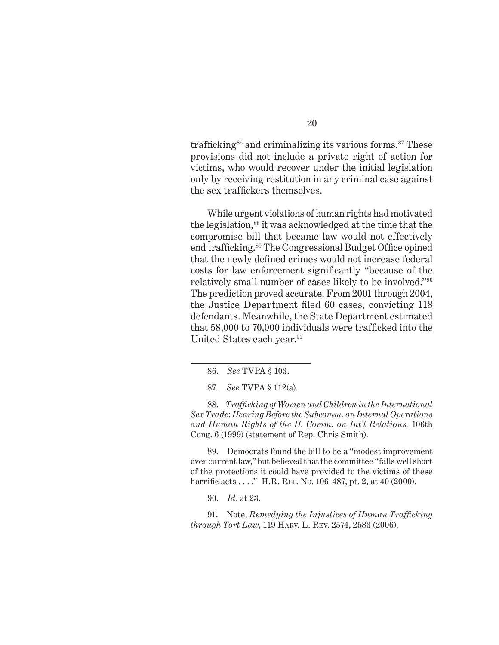trafficking<sup>86</sup> and criminalizing its various forms.<sup>87</sup> These provisions did not include a private right of action for victims, who would recover under the initial legislation only by receiving restitution in any criminal case against the sex traffickers themselves.

While urgent violations of human rights had motivated the legislation,<sup>88</sup> it was acknowledged at the time that the compromise bill that became law would not effectively end trafficking.89 The Congressional Budget Office opined that the newly defined crimes would not increase federal costs for law enforcement significantly "because of the relatively small number of cases likely to be involved."90 The prediction proved accurate. From 2001 through 2004, the Justice Department filed 60 cases, convicting 118 defendants. Meanwhile, the State Department estimated that 58,000 to 70,000 individuals were trafficked into the United States each year.<sup>91</sup>

88. *Trafficking of Women and Children in the International Sex Trade*: *Hearing Before the Subcomm. on Internal Operations and Human Rights of the H. Comm. on Int'l Relations,* 106th Cong. 6 (1999) (statement of Rep. Chris Smith).

89. Democrats found the bill to be a "modest improvement over current law," but believed that the committee "falls well short of the protections it could have provided to the victims of these horrific acts . . . . " H.R. REP. No. 106-487, pt. 2, at 40 (2000).

90. *Id.* at 23.

91. Note, *Remedying the Injustices of Human Trafficking through Tort Law*, 119 Harv. L. Rev. 2574, 2583 (2006).

<sup>86.</sup> *See* TVPA § 103.

<sup>87.</sup> *See* TVPA § 112(a).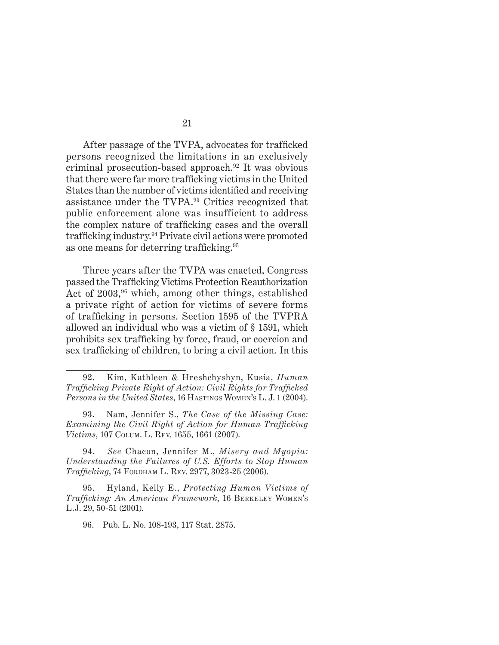After passage of the TVPA, advocates for trafficked persons recognized the limitations in an exclusively criminal prosecution-based approach.92 It was obvious that there were far more trafficking victims in the United States than the number of victims identified and receiving assistance under the TVPA.93 Critics recognized that public enforcement alone was insufficient to address the complex nature of trafficking cases and the overall trafficking industry.94 Private civil actions were promoted as one means for deterring trafficking.<sup>95</sup>

Three years after the TVPA was enacted, Congress passed the Trafficking Victims Protection Reauthorization Act of  $2003$ ,<sup>96</sup> which, among other things, established a private right of action for victims of severe forms of trafficking in persons. Section 1595 of the TVPRA allowed an individual who was a victim of § 1591, which prohibits sex trafficking by force, fraud, or coercion and sex trafficking of children, to bring a civil action. In this

<sup>92.</sup> Kim, Kathleen & Hreshchyshyn, Kusia, *Human Trafficking Private Right of Action: Civil Rights for Trafficked Persons in the United States*, 16 HASTINGS WOMEN'S L. J. 1 (2004).

<sup>93.</sup> Nam, Jennifer S., *The Case of the Missing Case: Examining the Civil Right of Action for Human Trafficking Victims*, 107 Colum. L. Rev. 1655, 1661 (2007).

<sup>94.</sup> *See* Chacon, Jennifer M., *Misery and Myopia: Understanding the Failures of U.S. Efforts to Stop Human Trafficking*, 74 Fordham L. Rev. 2977, 3023-25 (2006).

<sup>95.</sup> Hyland, Kelly E., *Protecting Human Victims of Trafficking: An American Framework*, 16 Berkeley Women's L.J. 29, 50-51 (2001).

<sup>96.</sup> Pub. L. No. 108-193, 117 Stat. 2875.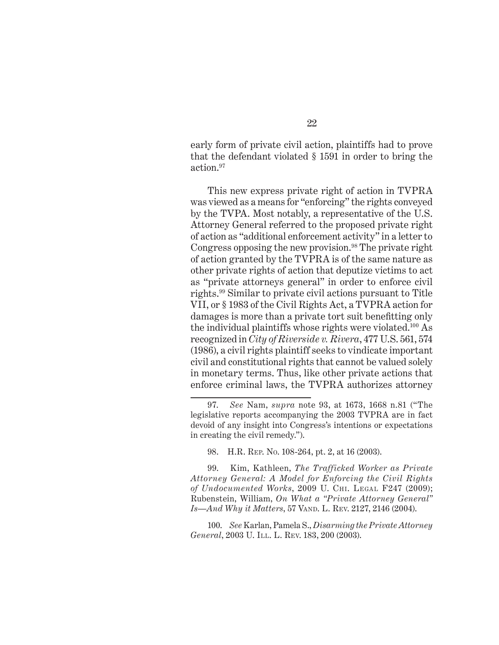early form of private civil action, plaintiffs had to prove that the defendant violated § 1591 in order to bring the action.97

This new express private right of action in TVPRA was viewed as a means for "enforcing" the rights conveyed by the TVPA. Most notably, a representative of the U.S. Attorney General referred to the proposed private right of action as "additional enforcement activity" in a letter to Congress opposing the new provision.<sup>98</sup> The private right of action granted by the TVPRA is of the same nature as other private rights of action that deputize victims to act as "private attorneys general" in order to enforce civil rights.99 Similar to private civil actions pursuant to Title VII, or § 1983 of the Civil Rights Act, a TVPRA action for damages is more than a private tort suit benefitting only the individual plaintiffs whose rights were violated.100 As recognized in *City of Riverside v. Rivera*, 477 U.S. 561, 574 (1986), a civil rights plaintiff seeks to vindicate important civil and constitutional rights that cannot be valued solely in monetary terms. Thus, like other private actions that enforce criminal laws, the TVPRA authorizes attorney

98. H.R. Rep. No. 108-264, pt. 2, at 16 (2003).

99. Kim, Kathleen, *The Trafficked Worker as Private Attorney General: A Model for Enforcing the Civil Rights of Undocumented Works*, 2009 U. Chi. Legal F247 (2009); Rubenstein, William, *On What a "Private Attorney General" Is—And Why it Matters*, 57 VAND. L. REV. 2127, 2146 (2004).

100. *See* Karlan, Pamela S., *Disarming the Private Attorney General*, 2003 U. ILL. L. REV. 183, 200 (2003).

<sup>97.</sup> *See* Nam, *supra* note 93, at 1673, 1668 n.81 ("The legislative reports accompanying the 2003 TVPRA are in fact devoid of any insight into Congress's intentions or expectations in creating the civil remedy.").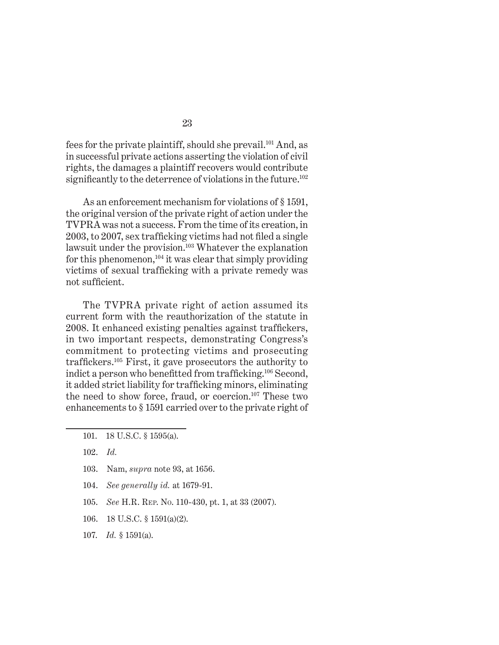fees for the private plaintiff, should she prevail.<sup>101</sup> And, as in successful private actions asserting the violation of civil rights, the damages a plaintiff recovers would contribute significantly to the deterrence of violations in the future.<sup>102</sup>

As an enforcement mechanism for violations of § 1591, the original version of the private right of action under the TVPRA was not a success. From the time of its creation, in 2003, to 2007, sex trafficking victims had not filed a single lawsuit under the provision.<sup>103</sup> Whatever the explanation for this phenomenon,<sup>104</sup> it was clear that simply providing victims of sexual trafficking with a private remedy was not sufficient.

The TVPRA private right of action assumed its current form with the reauthorization of the statute in 2008. It enhanced existing penalties against traffickers, in two important respects, demonstrating Congress's commitment to protecting victims and prosecuting traffickers.105 First, it gave prosecutors the authority to indict a person who benefitted from trafficking.106 Second, it added strict liability for trafficking minors, eliminating the need to show force, fraud, or coercion.<sup>107</sup> These two enhancements to § 1591 carried over to the private right of

102. *Id.*

- 103. Nam, *supra* note 93, at 1656.
- 104. *See generally id.* at 1679-91.
- 105. *See* H.R. Rep. No. 110-430, pt. 1, at 33 (2007).
- 106. 18 U.S.C. § 1591(a)(2).
- 107. *Id.* § 1591(a).

<sup>101. 18</sup> U.S.C. § 1595(a).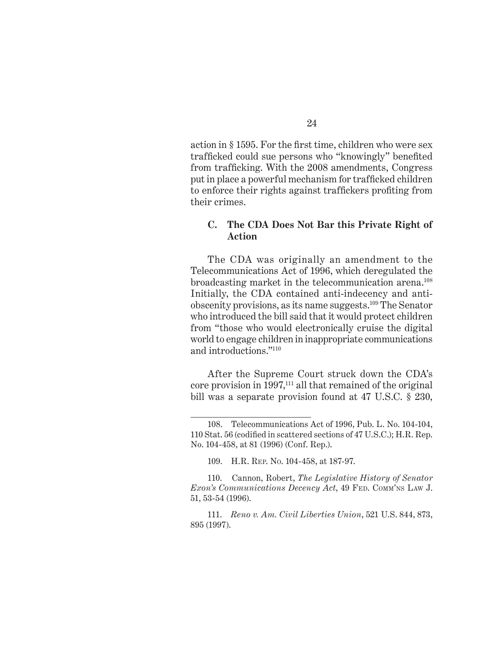action in § 1595. For the first time, children who were sex trafficked could sue persons who "knowingly" benefited from trafficking. With the 2008 amendments, Congress put in place a powerful mechanism for trafficked children to enforce their rights against traffickers profiting from their crimes.

#### **C. The CDA Does Not Bar this Private Right of Action**

The CDA was originally an amendment to the Telecommunications Act of 1996, which deregulated the broadcasting market in the telecommunication arena.108 Initially, the CDA contained anti-indecency and antiobscenity provisions, as its name suggests.109 The Senator who introduced the bill said that it would protect children from "those who would electronically cruise the digital world to engage children in inappropriate communications and introductions."110

After the Supreme Court struck down the CDA's core provision in 1997,111 all that remained of the original bill was a separate provision found at 47 U.S.C. § 230,

<sup>108.</sup> Telecommunications Act of 1996, Pub. L. No. 104-104, 110 Stat. 56 (codified in scattered sections of 47 U.S.C.); H.R. Rep. No. 104-458, at 81 (1996) (Conf. Rep.).

<sup>109.</sup> H.R. Rep. No. 104-458, at 187-97.

<sup>110.</sup> Cannon, Robert, *The Legislative History of Senator Exon's Communications Decency Act*, 49 Fed. Comm'ns Law J. 51, 53-54 (1996).

<sup>111.</sup> *Reno v. Am. Civil Liberties Union*, 521 U.S. 844, 873, 895 (1997).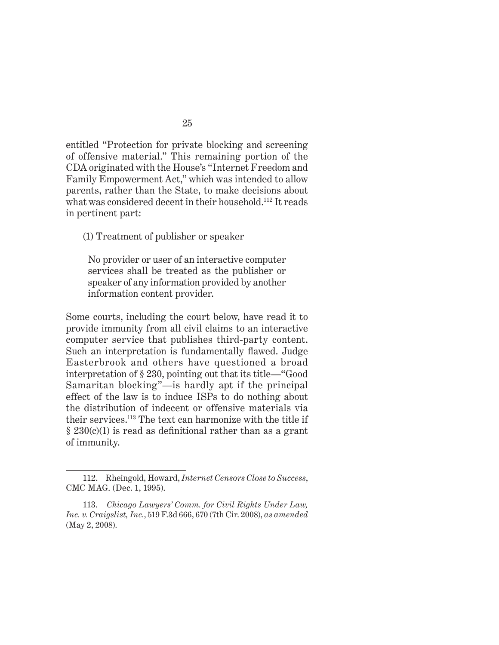entitled "Protection for private blocking and screening of offensive material." This remaining portion of the CDA originated with the House's "Internet Freedom and Family Empowerment Act," which was intended to allow parents, rather than the State, to make decisions about what was considered decent in their household.112 It reads in pertinent part:

(1) Treatment of publisher or speaker

No provider or user of an interactive computer services shall be treated as the publisher or speaker of any information provided by another information content provider.

Some courts, including the court below, have read it to provide immunity from all civil claims to an interactive computer service that publishes third-party content. Such an interpretation is fundamentally flawed. Judge Easterbrook and others have questioned a broad interpretation of § 230, pointing out that its title—"Good Samaritan blocking"—is hardly apt if the principal effect of the law is to induce ISPs to do nothing about the distribution of indecent or offensive materials via their services.113 The text can harmonize with the title if  $\S 230(c)(1)$  is read as definitional rather than as a grant of immunity.

<sup>112.</sup> Rheingold, Howard, *Internet Censors Close to Success*, CMC MAG. (Dec. 1, 1995).

<sup>113.</sup> *Chicago Lawyers' Comm. for Civil Rights Under Law, Inc. v. Craigslist, Inc.*, 519 F.3d 666, 670 (7th Cir. 2008), *as amended* (May 2, 2008).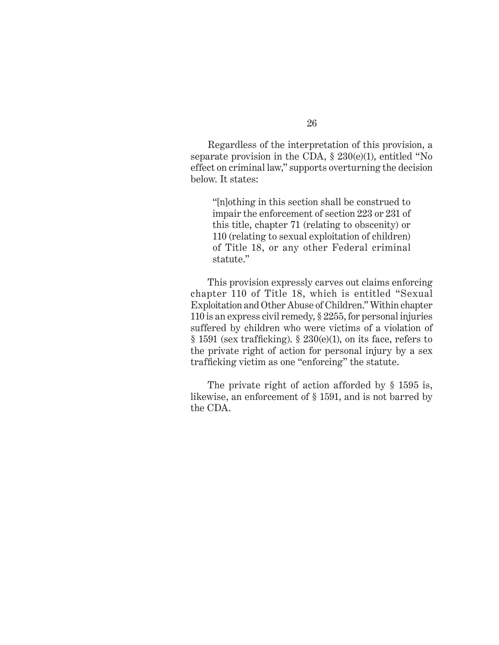Regardless of the interpretation of this provision, a separate provision in the CDA,  $\S 230(e)(1)$ , entitled "No effect on criminal law," supports overturning the decision below. It states:

"[n]othing in this section shall be construed to impair the enforcement of section 223 or 231 of this title, chapter 71 (relating to obscenity) or 110 (relating to sexual exploitation of children) of Title 18, or any other Federal criminal statute."

This provision expressly carves out claims enforcing chapter 110 of Title 18, which is entitled "Sexual Exploitation and Other Abuse of Children." Within chapter 110 is an express civil remedy, § 2255, for personal injuries suffered by children who were victims of a violation of  $§$  1591 (sex trafficking).  $§$  230(e)(1), on its face, refers to the private right of action for personal injury by a sex trafficking victim as one "enforcing" the statute.

The private right of action afforded by § 1595 is, likewise, an enforcement of § 1591, and is not barred by the CDA.